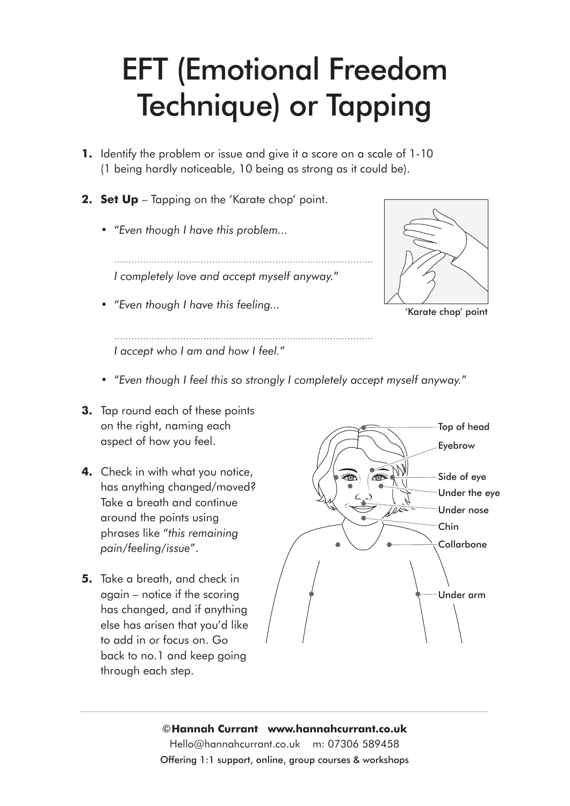## EFT (Emotional Freedom Technique) or Tapping

- **1.** Identify the problem or issue and give it a score on a scale of 1-10 (1 being hardly noticeable, 10 being as strong as it could be).
- **2. Set Up** Tapping on the 'Karate chop' point.
	- **•** "*Even though I have this problem...*

 *I completely love and accept myself anyway.*"

**•** "*Even though I have this feeling...*



'Karate chop' point

 *I accept who I am and how I feel.*"

- **•** "*Even though I feel this so strongly I completely accept myself anyway.*"
- **3.** Tap round each of these points on the right, naming each aspect of how you feel.
- **4.** Check in with what you notice, has anything changed/moved? Take a breath and continue around the points using phrases like "*this remaining pain/feeling/issue*".
- **5.** Take a breath, and check in again – notice if the scoring has changed, and if anything else has arisen that you'd like to add in or focus on. Go back to no.1 and keep going through each step.



©**Hannah Currant www.hannahcurrant.co.uk**  Hello@hannahcurrant.co.uk m: 07306 589458 Offering 1:1 support, online, group courses & workshops